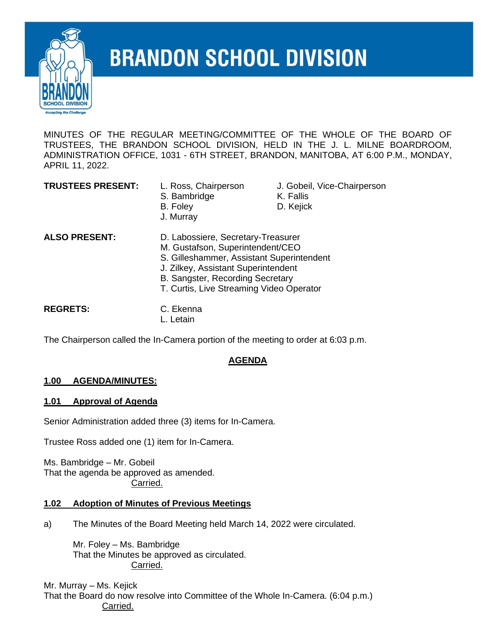

# **BRANDON SCHOOL DIVISION**

MINUTES OF THE REGULAR MEETING/COMMITTEE OF THE WHOLE OF THE BOARD OF TRUSTEES, THE BRANDON SCHOOL DIVISION, HELD IN THE J. L. MILNE BOARDROOM, ADMINISTRATION OFFICE, 1031 - 6TH STREET, BRANDON, MANITOBA, AT 6:00 P.M., MONDAY, APRIL 11, 2022.

- S. Bambridge K. Fallis B. Foley **D. Kejick** J. Murray
- **TRUSTEES PRESENT:** L. Ross, Chairperson J. Gobeil, Vice-Chairperson
	-
	-
- **ALSO PRESENT:** D. Labossiere, Secretary-Treasurer M. Gustafson, Superintendent/CEO S. Gilleshammer, Assistant Superintendent J. Zilkey, Assistant Superintendent B. Sangster, Recording Secretary T. Curtis, Live Streaming Video Operator **REGRETS:** C. Ekenna

L. Letain

The Chairperson called the In-Camera portion of the meeting to order at 6:03 p.m.

# **AGENDA**

# **1.00 AGENDA/MINUTES:**

### **1.01 Approval of Agenda**

Senior Administration added three (3) items for In-Camera.

Trustee Ross added one (1) item for In-Camera.

Ms. Bambridge – Mr. Gobeil That the agenda be approved as amended. Carried.

### **1.02 Adoption of Minutes of Previous Meetings**

a) The Minutes of the Board Meeting held March 14, 2022 were circulated.

Mr. Foley – Ms. Bambridge That the Minutes be approved as circulated. Carried.

Mr. Murray – Ms. Kejick That the Board do now resolve into Committee of the Whole In-Camera. (6:04 p.m.) Carried.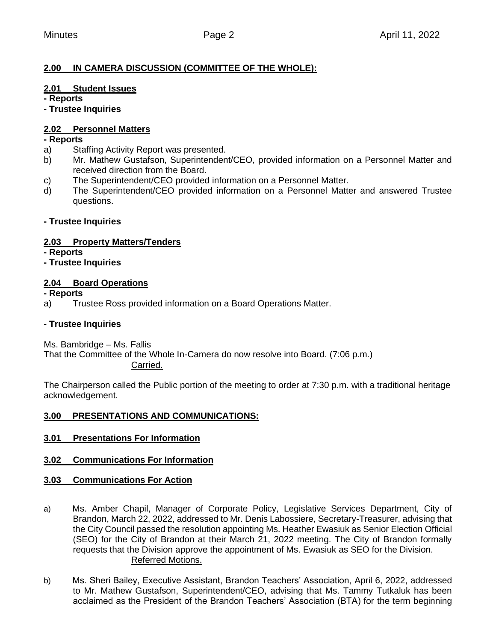# **2.00 IN CAMERA DISCUSSION (COMMITTEE OF THE WHOLE):**

# **2.01 Student Issues**

**- Reports**

**- Trustee Inquiries**

# **2.02 Personnel Matters**

# **- Reports**

- a) Staffing Activity Report was presented.
- b) Mr. Mathew Gustafson, Superintendent/CEO, provided information on a Personnel Matter and received direction from the Board.
- c) The Superintendent/CEO provided information on a Personnel Matter.
- d) The Superintendent/CEO provided information on a Personnel Matter and answered Trustee questions.

# **- Trustee Inquiries**

# **2.03 Property Matters/Tenders**

**- Reports**

**- Trustee Inquiries**

# **2.04 Board Operations**

**- Reports**

a) Trustee Ross provided information on a Board Operations Matter.

# **- Trustee Inquiries**

Ms. Bambridge – Ms. Fallis

That the Committee of the Whole In-Camera do now resolve into Board. (7:06 p.m.) Carried.

The Chairperson called the Public portion of the meeting to order at 7:30 p.m. with a traditional heritage acknowledgement.

### **3.00 PRESENTATIONS AND COMMUNICATIONS:**

**3.01 Presentations For Information** 

# **3.02 Communications For Information**

# **3.03 Communications For Action**

- a) Ms. Amber Chapil, Manager of Corporate Policy, Legislative Services Department, City of Brandon, March 22, 2022, addressed to Mr. Denis Labossiere, Secretary-Treasurer, advising that the City Council passed the resolution appointing Ms. Heather Ewasiuk as Senior Election Official (SEO) for the City of Brandon at their March 21, 2022 meeting. The City of Brandon formally requests that the Division approve the appointment of Ms. Ewasiuk as SEO for the Division. Referred Motions.
- b) Ms. Sheri Bailey, Executive Assistant, Brandon Teachers' Association, April 6, 2022, addressed to Mr. Mathew Gustafson, Superintendent/CEO, advising that Ms. Tammy Tutkaluk has been acclaimed as the President of the Brandon Teachers' Association (BTA) for the term beginning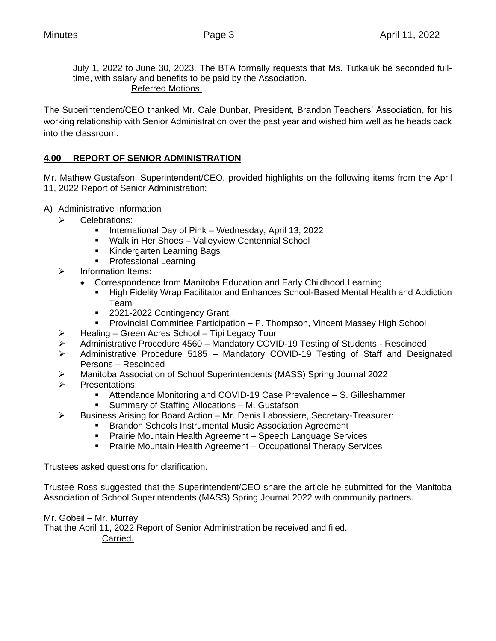July 1, 2022 to June 30, 2023. The BTA formally requests that Ms. Tutkaluk be seconded fulltime, with salary and benefits to be paid by the Association.

Referred Motions.

The Superintendent/CEO thanked Mr. Cale Dunbar, President, Brandon Teachers' Association, for his working relationship with Senior Administration over the past year and wished him well as he heads back into the classroom.

# **4.00 REPORT OF SENIOR ADMINISTRATION**

Mr. Mathew Gustafson, Superintendent/CEO, provided highlights on the following items from the April 11, 2022 Report of Senior Administration:

- A) Administrative Information
	- ➢ Celebrations:
		- International Day of Pink Wednesday, April 13, 2022
		- Walk in Her Shoes Valleyview Centennial School
		- Kindergarten Learning Bags
		- Professional Learning
	- ➢ Information Items:
		- Correspondence from Manitoba Education and Early Childhood Learning
			- High Fidelity Wrap Facilitator and Enhances School-Based Mental Health and Addiction Team
			- 2021-2022 Contingency Grant
			- Provincial Committee Participation P. Thompson, Vincent Massey High School
	- ➢ Healing Green Acres School Tipi Legacy Tour
	- ➢ Administrative Procedure 4560 Mandatory COVID-19 Testing of Students Rescinded
	- ➢ Administrative Procedure 5185 Mandatory COVID-19 Testing of Staff and Designated Persons – Rescinded
	- ➢ Manitoba Association of School Superintendents (MASS) Spring Journal 2022
	- ➢ Presentations:
		- Attendance Monitoring and COVID-19 Case Prevalence S. Gilleshammer
		- Summary of Staffing Allocations M. Gustafson
	- $\triangleright$  Business Arising for Board Action Mr. Denis Labossiere, Secretary-Treasurer:
		- Brandon Schools Instrumental Music Association Agreement
		- **Prairie Mountain Health Agreement Speech Language Services**
		- **Prairie Mountain Health Agreement Occupational Therapy Services**

Trustees asked questions for clarification.

Trustee Ross suggested that the Superintendent/CEO share the article he submitted for the Manitoba Association of School Superintendents (MASS) Spring Journal 2022 with community partners.

Mr. Gobeil – Mr. Murray

That the April 11, 2022 Report of Senior Administration be received and filed.

Carried.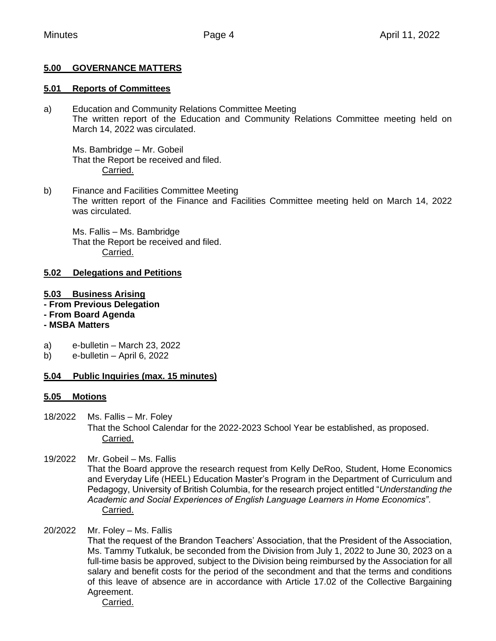# **5.00 GOVERNANCE MATTERS**

#### **5.01 Reports of Committees**

a) Education and Community Relations Committee Meeting The written report of the Education and Community Relations Committee meeting held on March 14, 2022 was circulated.

Ms. Bambridge – Mr. Gobeil That the Report be received and filed. Carried.

b) Finance and Facilities Committee Meeting The written report of the Finance and Facilities Committee meeting held on March 14, 2022 was circulated.

Ms. Fallis – Ms. Bambridge That the Report be received and filed. Carried.

#### **5.02 Delegations and Petitions**

- **5.03 Business Arising**
- **- From Previous Delegation**
- **- From Board Agenda**

### **- MSBA Matters**

- a) e-bulletin March 23, 2022
- b) e-bulletin April 6, 2022

### **5.04 Public Inquiries (max. 15 minutes)**

#### **5.05 Motions**

- 18/2022 Ms. Fallis Mr. Foley That the School Calendar for the 2022-2023 School Year be established, as proposed. Carried.
- 19/2022 Mr. Gobeil Ms. Fallis That the Board approve the research request from Kelly DeRoo, Student, Home Economics and Everyday Life (HEEL) Education Master's Program in the Department of Curriculum and Pedagogy, University of British Columbia, for the research project entitled "*Understanding the Academic and Social Experiences of English Language Learners in Home Economics"*. Carried.

# 20/2022 Mr. Foley – Ms. Fallis

That the request of the Brandon Teachers' Association, that the President of the Association, Ms. Tammy Tutkaluk, be seconded from the Division from July 1, 2022 to June 30, 2023 on a full-time basis be approved, subject to the Division being reimbursed by the Association for all salary and benefit costs for the period of the secondment and that the terms and conditions of this leave of absence are in accordance with Article 17.02 of the Collective Bargaining Agreement.

Carried.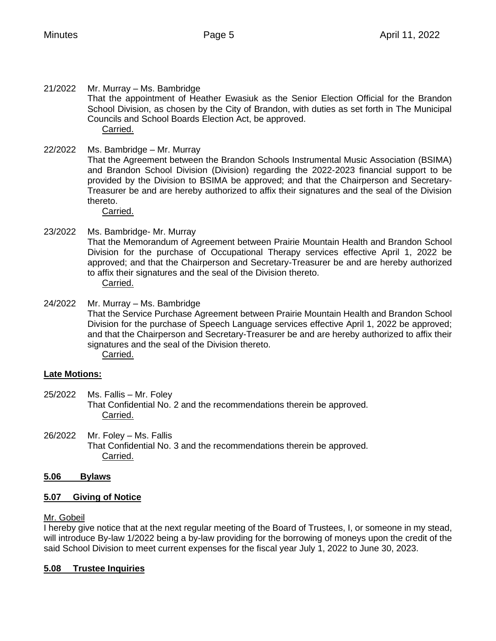21/2022 Mr. Murray – Ms. Bambridge That the appointment of Heather Ewasiuk as the Senior Election Official for the Brandon School Division, as chosen by the City of Brandon, with duties as set forth in The Municipal Councils and School Boards Election Act, be approved. Carried.

# 22/2022 Ms. Bambridge – Mr. Murray

That the Agreement between the Brandon Schools Instrumental Music Association (BSIMA) and Brandon School Division (Division) regarding the 2022-2023 financial support to be provided by the Division to BSIMA be approved; and that the Chairperson and Secretary-Treasurer be and are hereby authorized to affix their signatures and the seal of the Division thereto.

Carried.

#### 23/2022 Ms. Bambridge- Mr. Murray That the Memorandum of Agreement between Prairie Mountain Health and Brandon School Division for the purchase of Occupational Therapy services effective April 1, 2022 be approved; and that the Chairperson and Secretary-Treasurer be and are hereby authorized to affix their signatures and the seal of the Division thereto. Carried.

24/2022 Mr. Murray – Ms. Bambridge That the Service Purchase Agreement between Prairie Mountain Health and Brandon School Division for the purchase of Speech Language services effective April 1, 2022 be approved; and that the Chairperson and Secretary-Treasurer be and are hereby authorized to affix their signatures and the seal of the Division thereto. Carried.

#### **Late Motions:**

- 25/2022 Ms. Fallis Mr. Foley That Confidential No. 2 and the recommendations therein be approved. Carried.
- 26/2022 Mr. Foley Ms. Fallis That Confidential No. 3 and the recommendations therein be approved. Carried.

### **5.06 Bylaws**

### **5.07 Giving of Notice**

#### Mr. Gobeil

I hereby give notice that at the next regular meeting of the Board of Trustees, I, or someone in my stead, will introduce By-law 1/2022 being a by-law providing for the borrowing of moneys upon the credit of the said School Division to meet current expenses for the fiscal year July 1, 2022 to June 30, 2023.

#### **5.08 Trustee Inquiries**